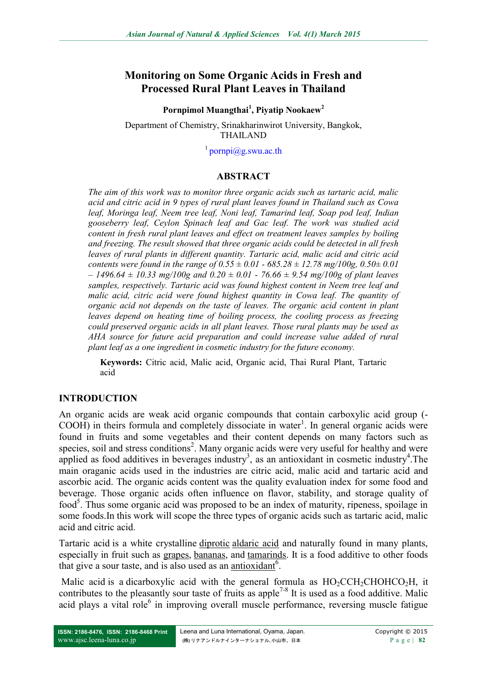# **Monitoring on Some Organic Acids in Fresh and Processed Rural Plant Leaves in Thailand**

**Pornpimol Muangthai<sup>1</sup> , Piyatip Nookaew<sup>2</sup>**

Department of Chemistry, Srinakharinwirot University, Bangkok, THAILAND

1 [pornpi@g.swu.ac.th](mailto:pornpi@g.swu.ac.th) 

### **ABSTRACT**

*The aim of this work was to monitor three organic acids such as tartaric acid, malic acid and citric acid in 9 types of rural plant leaves found in Thailand such as Cowa leaf, Moringa leaf, Neem tree leaf, Noni leaf, Tamarind leaf, Soap pod leaf, Indian gooseberry leaf, Ceylon Spinach leaf and Gac leaf. The work was studied acid content in fresh rural plant leaves and effect on treatment leaves samples by boiling and freezing. The result showed that three organic acids could be detected in all fresh leaves of rural plants in different quantity. Tartaric acid, malic acid and citric acid contents were found in the range of 0.55 ± 0.01 - 685.28 ± 12.78 mg/100g, 0.50± 0.01 – 1496.64 ± 10.33 mg/100g and 0.20 ± 0.01 - 76.66 ± 9.54 mg/100g of plant leaves samples, respectively. Tartaric acid was found highest content in Neem tree leaf and malic acid, citric acid were found highest quantity in Cowa leaf. The quantity of organic acid not depends on the taste of leaves. The organic acid content in plant leaves depend on heating time of boiling process, the cooling process as freezing could preserved organic acids in all plant leaves. Those rural plants may be used as AHA source for future acid preparation and could increase value added of rural plant leaf as a one ingredient in cosmetic industry for the future economy.*

**Keywords:** Citric acid, Malic acid, Organic acid, Thai Rural Plant, Tartaric acid

### **INTRODUCTION**

An organic acids are weak acid organic compounds that contain carboxylic acid group (-  $COOH$ ) in theirs formula and completely dissociate in water<sup>1</sup>. In general organic acids were found in fruits and some vegetables and their content depends on many factors such as species, soil and stress conditions<sup>2</sup>. Many organic acids were very useful for healthy and were applied as food additives in beverages industry<sup>3</sup>, as an antioxidant in cosmetic industry<sup>4</sup>. The main oraganic acids used in the industries are citric acid, malic acid and tartaric acid and ascorbic acid. The organic acids content was the quality evaluation index for some food and beverage. Those organic acids often influence on flavor, stability, and storage quality of food<sup>5</sup>. Thus some organic acid was proposed to be an index of maturity, ripeness, spoilage in some foods.In this work will scope the three types of organic acids such as tartaric acid, malic acid and citric acid.

Tartaric acid is a white crystalline [diprotic](http://en.wikipedia.org/wiki/Diprotic_acid) [aldaric acid](http://en.wikipedia.org/wiki/Aldaric_acid) and naturally found in many plants, especially in fruit such as [grapes,](http://en.wikipedia.org/wiki/Grape) [bananas,](http://en.wikipedia.org/wiki/Banana) and [tamarinds.](http://en.wikipedia.org/wiki/Tamarind) It is a food additive to other foods that give a sour taste, and is also used as an [antioxidant](http://en.wikipedia.org/wiki/Antioxidant)<sup>6</sup>.

Malic acid is a dicarboxylic acid with the general formula as  $HO_2CCH_2CHOHCO_2H$ , it contributes to the pleasantly sour taste of fruits as apple<sup>7-8</sup> It is used as a food additive. Malic acid plays a vital role<sup>6</sup> in improving overall muscle performance, reversing muscle fatigue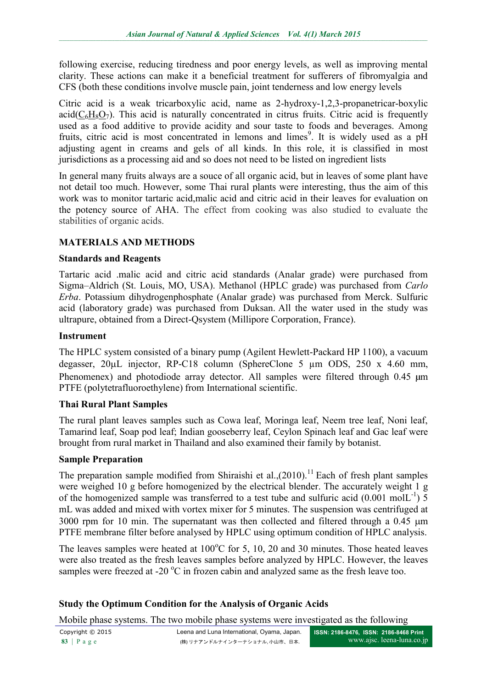following exercise, reducing tiredness and poor energy levels, as well as improving mental clarity. These actions can make it a beneficial treatment for sufferers of fibromyalgia and CFS (both these conditions involve muscle pain, joint tenderness and low energy levels

Citric acid is a weak tricarboxylic acid, name as 2-hydroxy-1,2,3-propanetricar-boxylic  $\text{acid}(C_6H_8O_7)$  $\text{acid}(C_6H_8O_7)$  $\text{acid}(C_6H_8O_7)$  $\text{acid}(C_6H_8O_7)$  $\text{acid}(C_6H_8O_7)$  $\text{acid}(C_6H_8O_7)$  $\text{acid}(C_6H_8O_7)$ . This acid is naturally concentrated in citrus fruits. Citric acid is frequently used as a food additive to provide acidity and sour taste to foods and beverages. Among fruits, citric acid is most concentrated in lemons and limes<sup>9</sup>. It is widely used as a pH adjusting agent in creams and gels of all kinds. In this role, it is classified in most jurisdictions as a processing aid and so does not need to be listed on ingredient lists

In general many fruits always are a souce of all organic acid, but in leaves of some plant have not detail too much. However, some Thai rural plants were interesting, thus the aim of this work was to monitor tartaric acid,malic acid and citric acid in their leaves for evaluation on the potency source of AHA. The effect from cooking was also studied to evaluate the stabilities of organic acids.

### **MATERIALS AND METHODS**

### **Standards and Reagents**

Tartaric acid .malic acid and citric acid standards (Analar grade) were purchased from Sigma–Aldrich (St. Louis, MO, USA). Methanol (HPLC grade) was purchased from *Carlo Erba*. Potassium dihydrogenphosphate (Analar grade) was purchased from Merck. Sulfuric acid (laboratory grade) was purchased from Duksan. All the water used in the study was ultrapure, obtained from a Direct-Qsystem (Millipore Corporation, France).

#### **Instrument**

The HPLC system consisted of a binary pump (Agilent Hewlett-Packard HP 1100), a vacuum degasser,  $20\mu L$  injector, RP-C18 column (SphereClone 5  $\mu$ m ODS, 250 x 4.60 mm, Phenomenex) and photodiode array detector. All samples were filtered through 0.45  $\mu$ m PTFE (polytetrafluoroethylene) from International scientific.

### **Thai Rural Plant Samples**

The rural plant leaves samples such as Cowa leaf, Moringa leaf, Neem tree leaf, Noni leaf, Tamarind leaf, Soap pod leaf; Indian gooseberry leaf, Ceylon Spinach leaf and Gac leaf were brought from rural market in Thailand and also examined their family by botanist.

### **Sample Preparation**

The preparation sample modified from Shiraishi et al., $(2010)$ .<sup>11</sup> Each of fresh plant samples were weighed 10 g before homogenized by the electrical blender. The accurately weight 1 g of the homogenized sample was transferred to a test tube and sulfuric acid  $(0.001 \text{ mol}L^{-1})$  5 mL was added and mixed with vortex mixer for 5 minutes. The suspension was centrifuged at 3000 rpm for 10 min. The supernatant was then collected and filtered through a  $0.45 \mu m$ PTFE membrane filter before analysed by HPLC using optimum condition of HPLC analysis.

The leaves samples were heated at  $100^{\circ}$ C for 5, 10, 20 and 30 minutes. Those heated leaves were also treated as the fresh leaves samples before analyzed by HPLC. However, the leaves samples were freezed at -20  $^{\circ}$ C in frozen cabin and analyzed same as the fresh leave too.

# **Study the Optimum Condition for the Analysis of Organic Acids**

Mobile phase systems. The two mobile phase systems were investigated as the following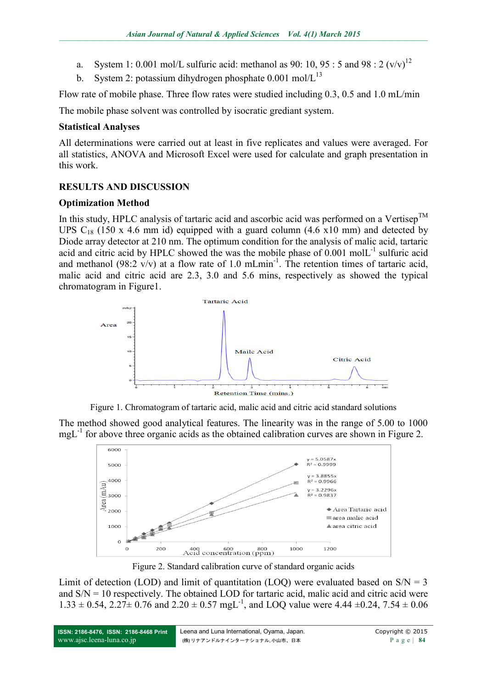- a. System 1: 0.001 mol/L sulfuric acid: methanol as 90: 10, 95 : 5 and 98 : 2  $(v/v)^{12}$
- b. System 2: potassium dihydrogen phosphate  $0.001 \text{ mol/L}^{13}$

Flow rate of mobile phase. Three flow rates were studied including 0.3, 0.5 and 1.0 mL/min

The mobile phase solvent was controlled by isocratic grediant system.

# **Statistical Analyses**

All determinations were carried out at least in five replicates and values were averaged. For all statistics, ANOVA and Microsoft Excel were used for calculate and graph presentation in this work.

# **RESULTS AND DISCUSSION**

# **Optimization Method**

In this study, HPLC analysis of tartaric acid and ascorbic acid was performed on a Vertisep<sup>TM</sup> UPS  $C_{18}$  (150 x 4.6 mm id) equipped with a guard column (4.6 x10 mm) and detected by Diode array detector at 210 nm. The optimum condition for the analysis of malic acid, tartaric acid and citric acid by HPLC showed the was the mobile phase of 0.001 molL<sup>-1</sup> sulfuric acid and methanol (98:2  $\vec{v}$ /v) at a flow rate of 1.0 mLmin<sup>-1</sup>. The retention times of tartaric acid, malic acid and citric acid are 2.3, 3.0 and 5.6 mins, respectively as showed the typical chromatogram in Figure1.



Figure 1. Chromatogram of tartaric acid, malic acid and citric acid standard solutions

The method showed good analytical features. The linearity was in the range of 5.00 to 1000 mgL<sup>-1</sup> for above three organic acids as the obtained calibration curves are shown in Figure 2.



Figure 2. Standard calibration curve of standard organic acids

Limit of detection (LOD) and limit of quantitation (LOQ) were evaluated based on  $S/N = 3$ and  $S/N = 10$  respectively. The obtained LOD for tartaric acid, malic acid and citric acid were  $1.33 \pm 0.54$ ,  $2.27 \pm 0.76$  and  $2.20 \pm 0.57$  mgL<sup>-1</sup>, and LOQ value were 4.44  $\pm 0.24$ ,  $7.54 \pm 0.06$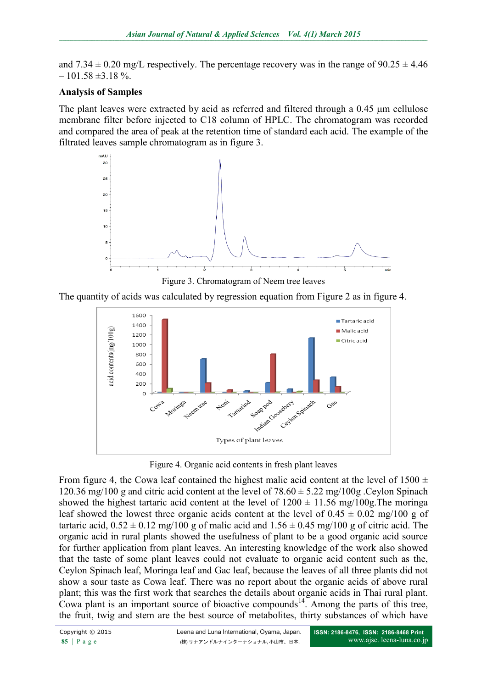and  $7.34 \pm 0.20$  mg/L respectively. The percentage recovery was in the range of  $90.25 \pm 4.46$  $-101.58 \pm 3.18 \%$ .

### **Analysis of Samples**

The plant leaves were extracted by acid as referred and filtered through a  $0.45 \mu m$  cellulose membrane filter before injected to C18 column of HPLC. The chromatogram was recorded and compared the area of peak at the retention time of standard each acid. The example of the filtrated leaves sample chromatogram as in figure 3.



Figure 3. Chromatogram of Neem tree leaves

The quantity of acids was calculated by regression equation from Figure 2 as in figure 4.



Figure 4. Organic acid contents in fresh plant leaves

From figure 4, the Cowa leaf contained the highest malic acid content at the level of  $1500 \pm 1500$ 120.36 mg/100 g and citric acid content at the level of  $78.60 \pm 5.22$  mg/100g . Ceylon Spinach showed the highest tartaric acid content at the level of  $1200 \pm 11.56$  mg/100g. The moringa leaf showed the lowest three organic acids content at the level of  $0.45 \pm 0.02$  mg/100 g of tartaric acid,  $0.52 \pm 0.12$  mg/100 g of malic acid and  $1.56 \pm 0.45$  mg/100 g of citric acid. The organic acid in rural plants showed the usefulness of plant to be a good organic acid source for further application from plant leaves. An interesting knowledge of the work also showed that the taste of some plant leaves could not evaluate to organic acid content such as the, Ceylon Spinach leaf, Moringa leaf and Gac leaf, because the leaves of all three plants did not show a sour taste as Cowa leaf. There was no report about the organic acids of above rural plant; this was the first work that searches the details about organic acids in Thai rural plant. Cowa plant is an important source of bioactive compounds<sup>14</sup>. Among the parts of this tree, the fruit, twig and stem are the best source of metabolites, thirty substances of which have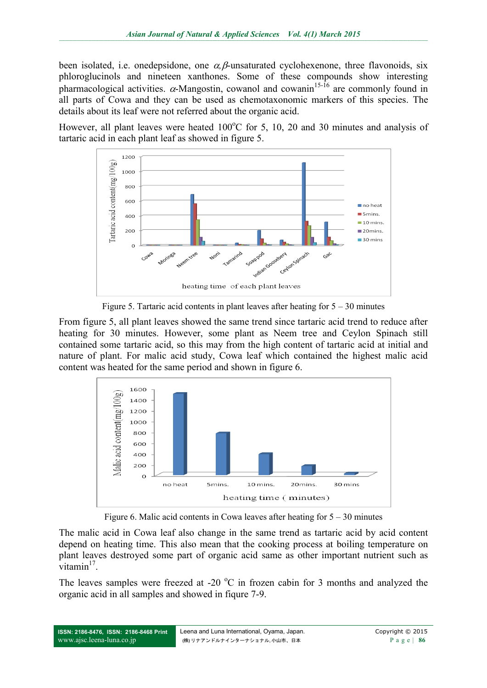been isolated, i.e. onedepsidone, one  $\alpha$ ,  $\beta$ -unsaturated cyclohexenone, three flavonoids, six phloroglucinols and nineteen xanthones. Some of these compounds show interesting pharmacological activities.  $\alpha$ -Mangostin, cowanol and cowanin<sup>15-16</sup> are commonly found in all parts of Cowa and they can be used as chemotaxonomic markers of this species. The details about its leaf were not referred about the organic acid.

However, all plant leaves were heated  $100^{\circ}$ C for 5, 10, 20 and 30 minutes and analysis of tartaric acid in each plant leaf as showed in figure 5.



Figure 5. Tartaric acid contents in plant leaves after heating for  $5 - 30$  minutes

From figure 5, all plant leaves showed the same trend since tartaric acid trend to reduce after heating for 30 minutes. However, some plant as Neem tree and Ceylon Spinach still contained some tartaric acid, so this may from the high content of tartaric acid at initial and nature of plant. For malic acid study, Cowa leaf which contained the highest malic acid content was heated for the same period and shown in figure 6.



Figure 6. Malic acid contents in Cowa leaves after heating for  $5 - 30$  minutes

The malic acid in Cowa leaf also change in the same trend as tartaric acid by acid content depend on heating time. This also mean that the cooking process at boiling temperature on plant leaves destroyed some part of organic acid same as other important nutrient such as  $\overline{\text{v}^2}$  vitamin<sup>17</sup>.

The leaves samples were freezed at -20  $^{\circ}$ C in frozen cabin for 3 months and analyzed the organic acid in all samples and showed in fiqure 7-9.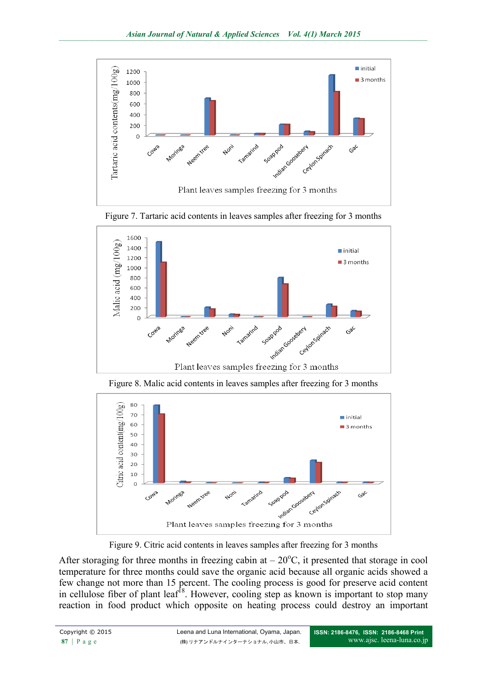

Figure 7. Tartaric acid contents in leaves samples after freezing for 3 months



Figure 8. Malic acid contents in leaves samples after freezing for 3 months



Figure 9. Citric acid contents in leaves samples after freezing for 3 months

After storaging for three months in freezing cabin at  $-20^{\circ}$ C, it presented that storage in cool temperature for three months could save the organic acid because all organic acids showed a few change not more than 15 percent. The cooling process is good for preserve acid content in cellulose fiber of plant leaf<sup>18</sup>. However, cooling step as known is important to stop many reaction in food product which opposite on heating process could destroy an important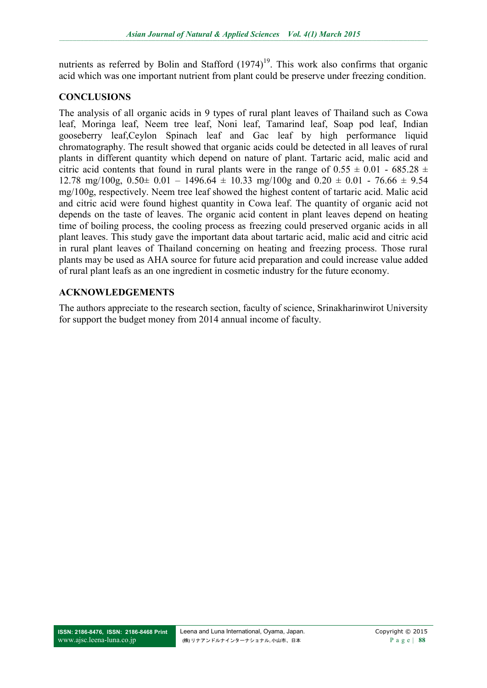nutrients as referred by Bolin and Stafford  $(1974)^{19}$ . This work also confirms that organic acid which was one important nutrient from plant could be preserve under freezing condition.

### **CONCLUSIONS**

The analysis of all organic acids in 9 types of rural plant leaves of Thailand such as Cowa leaf, Moringa leaf, Neem tree leaf, Noni leaf, Tamarind leaf, Soap pod leaf, Indian gooseberry leaf,Ceylon Spinach leaf and Gac leaf by high performance liquid chromatography. The result showed that organic acids could be detected in all leaves of rural plants in different quantity which depend on nature of plant. Tartaric acid, malic acid and citric acid contents that found in rural plants were in the range of  $0.55 \pm 0.01$  - 685.28  $\pm$ 12.78 mg/100g,  $0.50 \pm 0.01 - 1496.64 \pm 10.33$  mg/100g and  $0.20 \pm 0.01 - 76.66 \pm 9.54$ mg/100g, respectively. Neem tree leaf showed the highest content of tartaric acid. Malic acid and citric acid were found highest quantity in Cowa leaf. The quantity of organic acid not depends on the taste of leaves. The organic acid content in plant leaves depend on heating time of boiling process, the cooling process as freezing could preserved organic acids in all plant leaves. This study gave the important data about tartaric acid, malic acid and citric acid in rural plant leaves of Thailand concerning on heating and freezing process. Those rural plants may be used as AHA source for future acid preparation and could increase value added of rural plant leafs as an one ingredient in cosmetic industry for the future economy.

# **ACKNOWLEDGEMENTS**

The authors appreciate to the research section, faculty of science, Srinakharinwirot University for support the budget money from 2014 annual income of faculty.